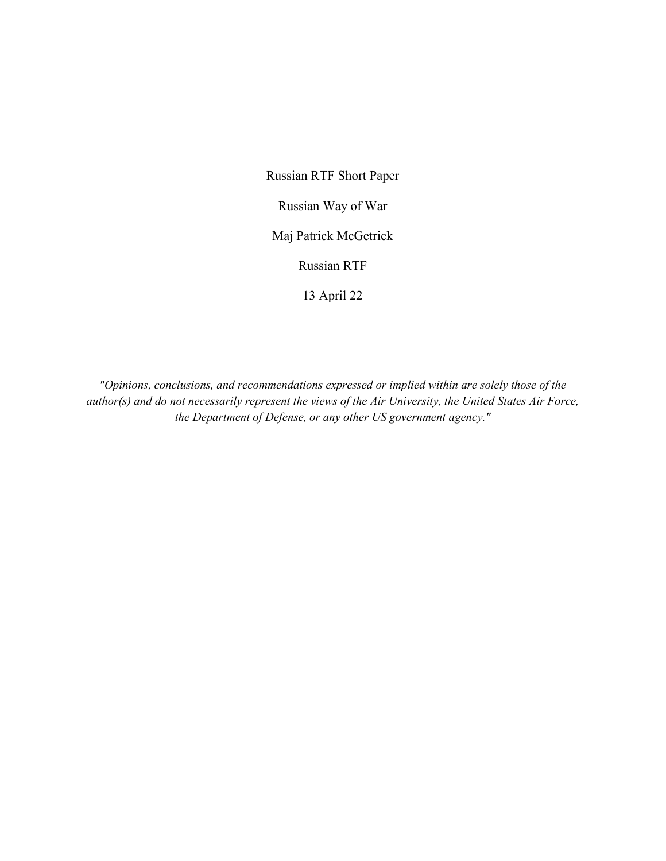Russian RTF Short Paper

Russian Way of War

Maj Patrick McGetrick

Russian RTF

13 April 22

*"Opinions, conclusions, and recommendations expressed or implied within are solely those of the author(s) and do not necessarily represent the views of the Air University, the United States Air Force, the Department of Defense, or any other US government agency."*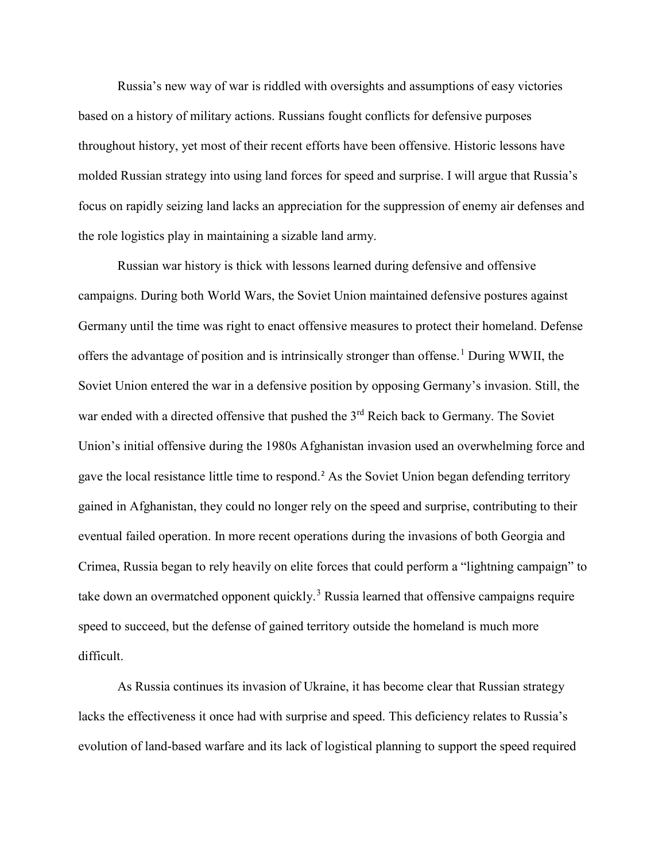Russia's new way of war is riddled with oversights and assumptions of easy victories based on a history of military actions. Russians fought conflicts for defensive purposes throughout history, yet most of their recent efforts have been offensive. Historic lessons have molded Russian strategy into using land forces for speed and surprise. I will argue that Russia's focus on rapidly seizing land lacks an appreciation for the suppression of enemy air defenses and the role logistics play in maintaining a sizable land army.

Russian war history is thick with lessons learned during defensive and offensive campaigns. During both World Wars, the Soviet Union maintained defensive postures against Germany until the time was right to enact offensive measures to protect their homeland. Defense offers the advantage of position and is intrinsically stronger than offense.<sup>[1](#page-3-0)</sup> During WWII, the Soviet Union entered the war in a defensive position by opposing Germany's invasion. Still, the war ended with a directed offensive that pushed the 3<sup>rd</sup> Reich back to Germany. The Soviet Union's initial offensive during the 1980s Afghanistan invasion used an overwhelming force and gave the local resistance little time to respond.<sup>[2](#page-3-1)</sup> As the Soviet Union began defending territory gained in Afghanistan, they could no longer rely on the speed and surprise, contributing to their eventual failed operation. In more recent operations during the invasions of both Georgia and Crimea, Russia began to rely heavily on elite forces that could perform a "lightning campaign" to take down an overmatched opponent quickly.<sup>[3](#page-3-2)</sup> Russia learned that offensive campaigns require speed to succeed, but the defense of gained territory outside the homeland is much more difficult.

As Russia continues its invasion of Ukraine, it has become clear that Russian strategy lacks the effectiveness it once had with surprise and speed. This deficiency relates to Russia's evolution of land-based warfare and its lack of logistical planning to support the speed required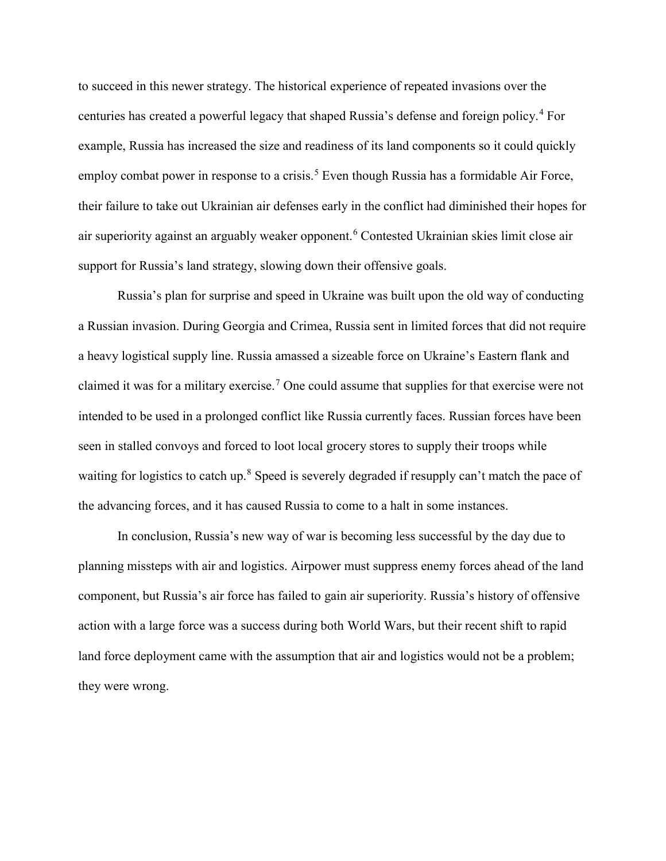to succeed in this newer strategy. The historical experience of repeated invasions over the centuries has created a powerful legacy that shaped Russia's defense and foreign policy.[4](#page-3-3) For example, Russia has increased the size and readiness of its land components so it could quickly employ combat power in response to a crisis.<sup>[5](#page-3-4)</sup> Even though Russia has a formidable Air Force, their failure to take out Ukrainian air defenses early in the conflict had diminished their hopes for air superiority against an arguably weaker opponent.[6](#page-3-5) Contested Ukrainian skies limit close air support for Russia's land strategy, slowing down their offensive goals.

Russia's plan for surprise and speed in Ukraine was built upon the old way of conducting a Russian invasion. During Georgia and Crimea, Russia sent in limited forces that did not require a heavy logistical supply line. Russia amassed a sizeable force on Ukraine's Eastern flank and claimed it was for a military exercise.<sup>[7](#page-3-6)</sup> One could assume that supplies for that exercise were not intended to be used in a prolonged conflict like Russia currently faces. Russian forces have been seen in stalled convoys and forced to loot local grocery stores to supply their troops while waiting for logistics to catch up.<sup>[8](#page-3-7)</sup> Speed is severely degraded if resupply can't match the pace of the advancing forces, and it has caused Russia to come to a halt in some instances.

In conclusion, Russia's new way of war is becoming less successful by the day due to planning missteps with air and logistics. Airpower must suppress enemy forces ahead of the land component, but Russia's air force has failed to gain air superiority. Russia's history of offensive action with a large force was a success during both World Wars, but their recent shift to rapid land force deployment came with the assumption that air and logistics would not be a problem; they were wrong.